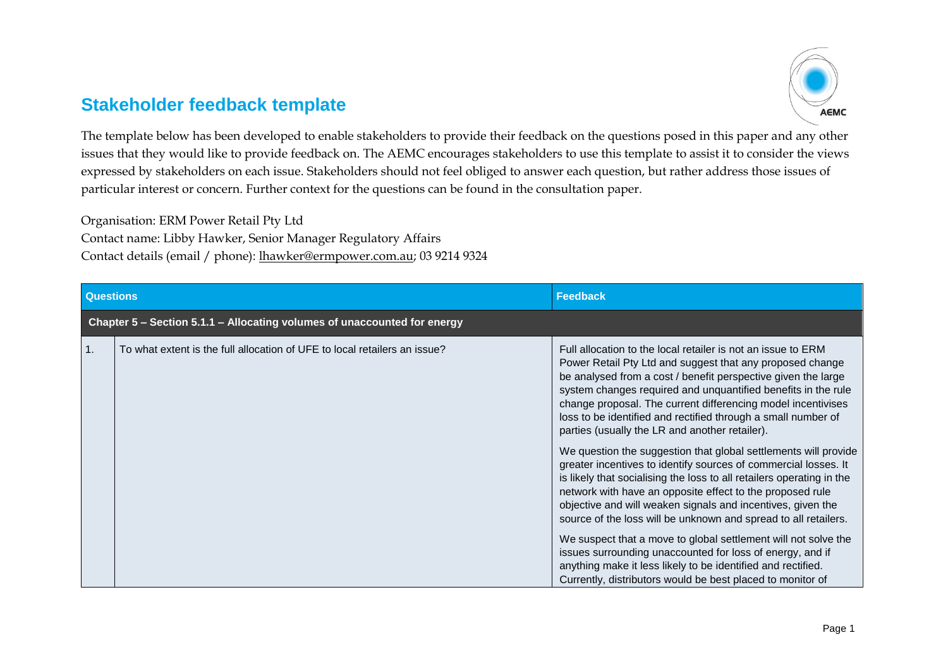## **Stakeholder feedback template**



The template below has been developed to enable stakeholders to provide their feedback on the questions posed in this paper and any other issues that they would like to provide feedback on. The AEMC encourages stakeholders to use this template to assist it to consider the views expressed by stakeholders on each issue. Stakeholders should not feel obliged to answer each question, but rather address those issues of particular interest or concern. Further context for the questions can be found in the consultation paper.

Organisation: ERM Power Retail Pty Ltd Contact name: Libby Hawker, Senior Manager Regulatory Affairs Contact details (email / phone): [lhawker@ermpower.com.au;](mailto:lhawker@ermpower.com.au) 03 9214 9324

| <b>Questions</b>                                                         |                                                                           | <b>Feedback</b>                                                                                                                                                                                                                                                                                                                                                                                                                                                                                                                                                                                                                                                                                                                                                                                                                                                                                                                                                                                                                                                                                                           |  |
|--------------------------------------------------------------------------|---------------------------------------------------------------------------|---------------------------------------------------------------------------------------------------------------------------------------------------------------------------------------------------------------------------------------------------------------------------------------------------------------------------------------------------------------------------------------------------------------------------------------------------------------------------------------------------------------------------------------------------------------------------------------------------------------------------------------------------------------------------------------------------------------------------------------------------------------------------------------------------------------------------------------------------------------------------------------------------------------------------------------------------------------------------------------------------------------------------------------------------------------------------------------------------------------------------|--|
| Chapter 5 - Section 5.1.1 - Allocating volumes of unaccounted for energy |                                                                           |                                                                                                                                                                                                                                                                                                                                                                                                                                                                                                                                                                                                                                                                                                                                                                                                                                                                                                                                                                                                                                                                                                                           |  |
| 1.                                                                       | To what extent is the full allocation of UFE to local retailers an issue? | Full allocation to the local retailer is not an issue to ERM<br>Power Retail Pty Ltd and suggest that any proposed change<br>be analysed from a cost / benefit perspective given the large<br>system changes required and unquantified benefits in the rule<br>change proposal. The current differencing model incentivises<br>loss to be identified and rectified through a small number of<br>parties (usually the LR and another retailer).<br>We question the suggestion that global settlements will provide<br>greater incentives to identify sources of commercial losses. It<br>is likely that socialising the loss to all retailers operating in the<br>network with have an opposite effect to the proposed rule<br>objective and will weaken signals and incentives, given the<br>source of the loss will be unknown and spread to all retailers.<br>We suspect that a move to global settlement will not solve the<br>issues surrounding unaccounted for loss of energy, and if<br>anything make it less likely to be identified and rectified.<br>Currently, distributors would be best placed to monitor of |  |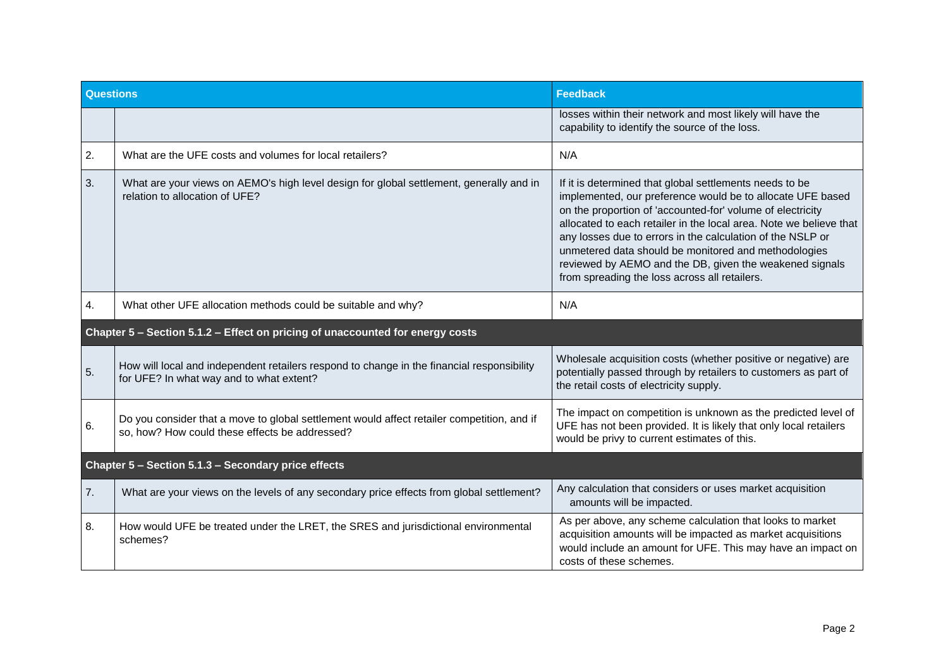| <b>Questions</b>                                                              |                                                                                                                                              | <b>Feedback</b>                                                                                                                                                                                                                                                                                                                                                                                                                                                                             |
|-------------------------------------------------------------------------------|----------------------------------------------------------------------------------------------------------------------------------------------|---------------------------------------------------------------------------------------------------------------------------------------------------------------------------------------------------------------------------------------------------------------------------------------------------------------------------------------------------------------------------------------------------------------------------------------------------------------------------------------------|
|                                                                               |                                                                                                                                              | losses within their network and most likely will have the<br>capability to identify the source of the loss.                                                                                                                                                                                                                                                                                                                                                                                 |
| 2.                                                                            | What are the UFE costs and volumes for local retailers?                                                                                      | N/A                                                                                                                                                                                                                                                                                                                                                                                                                                                                                         |
| 3.                                                                            | What are your views on AEMO's high level design for global settlement, generally and in<br>relation to allocation of UFE?                    | If it is determined that global settlements needs to be<br>implemented, our preference would be to allocate UFE based<br>on the proportion of 'accounted-for' volume of electricity<br>allocated to each retailer in the local area. Note we believe that<br>any losses due to errors in the calculation of the NSLP or<br>unmetered data should be monitored and methodologies<br>reviewed by AEMO and the DB, given the weakened signals<br>from spreading the loss across all retailers. |
| 4.                                                                            | What other UFE allocation methods could be suitable and why?                                                                                 | N/A                                                                                                                                                                                                                                                                                                                                                                                                                                                                                         |
| Chapter 5 - Section 5.1.2 - Effect on pricing of unaccounted for energy costs |                                                                                                                                              |                                                                                                                                                                                                                                                                                                                                                                                                                                                                                             |
| 5.                                                                            | How will local and independent retailers respond to change in the financial responsibility<br>for UFE? In what way and to what extent?       | Wholesale acquisition costs (whether positive or negative) are<br>potentially passed through by retailers to customers as part of<br>the retail costs of electricity supply.                                                                                                                                                                                                                                                                                                                |
| 6.                                                                            | Do you consider that a move to global settlement would affect retailer competition, and if<br>so, how? How could these effects be addressed? | The impact on competition is unknown as the predicted level of<br>UFE has not been provided. It is likely that only local retailers<br>would be privy to current estimates of this.                                                                                                                                                                                                                                                                                                         |
| Chapter 5 - Section 5.1.3 - Secondary price effects                           |                                                                                                                                              |                                                                                                                                                                                                                                                                                                                                                                                                                                                                                             |
| 7.                                                                            | What are your views on the levels of any secondary price effects from global settlement?                                                     | Any calculation that considers or uses market acquisition<br>amounts will be impacted.                                                                                                                                                                                                                                                                                                                                                                                                      |
| 8.                                                                            | How would UFE be treated under the LRET, the SRES and jurisdictional environmental<br>schemes?                                               | As per above, any scheme calculation that looks to market<br>acquisition amounts will be impacted as market acquisitions<br>would include an amount for UFE. This may have an impact on<br>costs of these schemes.                                                                                                                                                                                                                                                                          |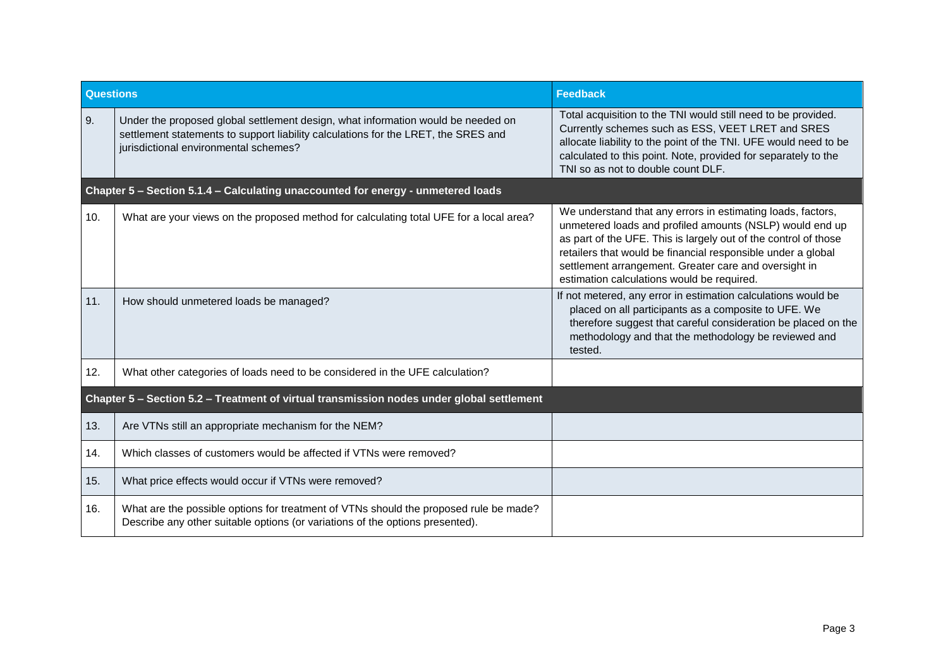| <b>Questions</b>                                                                          |                                                                                                                                                                                                                 | <b>Feedback</b>                                                                                                                                                                                                                                                                                                                                                   |  |
|-------------------------------------------------------------------------------------------|-----------------------------------------------------------------------------------------------------------------------------------------------------------------------------------------------------------------|-------------------------------------------------------------------------------------------------------------------------------------------------------------------------------------------------------------------------------------------------------------------------------------------------------------------------------------------------------------------|--|
| 9.                                                                                        | Under the proposed global settlement design, what information would be needed on<br>settlement statements to support liability calculations for the LRET, the SRES and<br>jurisdictional environmental schemes? | Total acquisition to the TNI would still need to be provided.<br>Currently schemes such as ESS, VEET LRET and SRES<br>allocate liability to the point of the TNI. UFE would need to be<br>calculated to this point. Note, provided for separately to the<br>TNI so as not to double count DLF.                                                                    |  |
| Chapter 5 - Section 5.1.4 - Calculating unaccounted for energy - unmetered loads          |                                                                                                                                                                                                                 |                                                                                                                                                                                                                                                                                                                                                                   |  |
| 10.                                                                                       | What are your views on the proposed method for calculating total UFE for a local area?                                                                                                                          | We understand that any errors in estimating loads, factors,<br>unmetered loads and profiled amounts (NSLP) would end up<br>as part of the UFE. This is largely out of the control of those<br>retailers that would be financial responsible under a global<br>settlement arrangement. Greater care and oversight in<br>estimation calculations would be required. |  |
| 11.                                                                                       | How should unmetered loads be managed?                                                                                                                                                                          | If not metered, any error in estimation calculations would be<br>placed on all participants as a composite to UFE. We<br>therefore suggest that careful consideration be placed on the<br>methodology and that the methodology be reviewed and<br>tested.                                                                                                         |  |
| 12.                                                                                       | What other categories of loads need to be considered in the UFE calculation?                                                                                                                                    |                                                                                                                                                                                                                                                                                                                                                                   |  |
| Chapter 5 - Section 5.2 - Treatment of virtual transmission nodes under global settlement |                                                                                                                                                                                                                 |                                                                                                                                                                                                                                                                                                                                                                   |  |
| 13.                                                                                       | Are VTNs still an appropriate mechanism for the NEM?                                                                                                                                                            |                                                                                                                                                                                                                                                                                                                                                                   |  |
| 14.                                                                                       | Which classes of customers would be affected if VTNs were removed?                                                                                                                                              |                                                                                                                                                                                                                                                                                                                                                                   |  |
| 15.                                                                                       | What price effects would occur if VTNs were removed?                                                                                                                                                            |                                                                                                                                                                                                                                                                                                                                                                   |  |
| 16.                                                                                       | What are the possible options for treatment of VTNs should the proposed rule be made?<br>Describe any other suitable options (or variations of the options presented).                                          |                                                                                                                                                                                                                                                                                                                                                                   |  |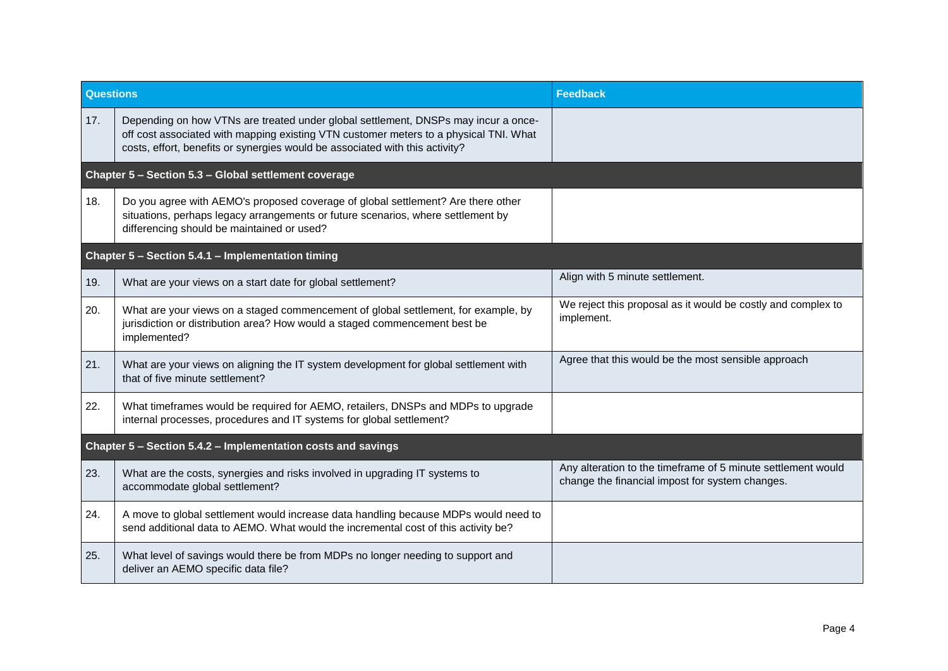| Questions                                                    |                                                                                                                                                                                                                                                             | <b>Feedback</b>                                                                                                 |
|--------------------------------------------------------------|-------------------------------------------------------------------------------------------------------------------------------------------------------------------------------------------------------------------------------------------------------------|-----------------------------------------------------------------------------------------------------------------|
| 17.                                                          | Depending on how VTNs are treated under global settlement, DNSPs may incur a once-<br>off cost associated with mapping existing VTN customer meters to a physical TNI. What<br>costs, effort, benefits or synergies would be associated with this activity? |                                                                                                                 |
| Chapter 5 - Section 5.3 - Global settlement coverage         |                                                                                                                                                                                                                                                             |                                                                                                                 |
| 18.                                                          | Do you agree with AEMO's proposed coverage of global settlement? Are there other<br>situations, perhaps legacy arrangements or future scenarios, where settlement by<br>differencing should be maintained or used?                                          |                                                                                                                 |
| Chapter 5 - Section 5.4.1 - Implementation timing            |                                                                                                                                                                                                                                                             |                                                                                                                 |
| 19.                                                          | What are your views on a start date for global settlement?                                                                                                                                                                                                  | Align with 5 minute settlement.                                                                                 |
| 20.                                                          | What are your views on a staged commencement of global settlement, for example, by<br>jurisdiction or distribution area? How would a staged commencement best be<br>implemented?                                                                            | We reject this proposal as it would be costly and complex to<br>implement.                                      |
| 21.                                                          | What are your views on aligning the IT system development for global settlement with<br>that of five minute settlement?                                                                                                                                     | Agree that this would be the most sensible approach                                                             |
| 22.                                                          | What timeframes would be required for AEMO, retailers, DNSPs and MDPs to upgrade<br>internal processes, procedures and IT systems for global settlement?                                                                                                    |                                                                                                                 |
| Chapter 5 - Section 5.4.2 - Implementation costs and savings |                                                                                                                                                                                                                                                             |                                                                                                                 |
| 23.                                                          | What are the costs, synergies and risks involved in upgrading IT systems to<br>accommodate global settlement?                                                                                                                                               | Any alteration to the timeframe of 5 minute settlement would<br>change the financial impost for system changes. |
| 24.                                                          | A move to global settlement would increase data handling because MDPs would need to<br>send additional data to AEMO. What would the incremental cost of this activity be?                                                                                   |                                                                                                                 |
| 25.                                                          | What level of savings would there be from MDPs no longer needing to support and<br>deliver an AEMO specific data file?                                                                                                                                      |                                                                                                                 |